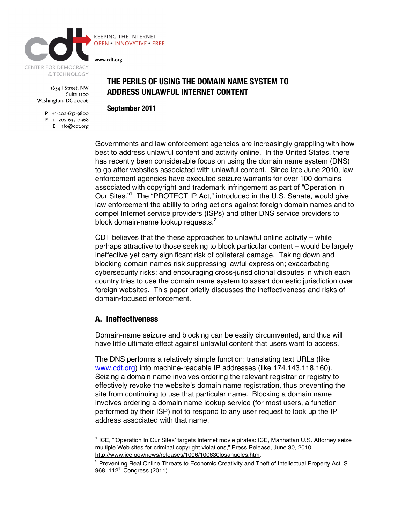

1634 | Street, NW Suite 1100 Washington, DC 20006

> $P$  +1-202-637-9800  $F$  +1-202-637-0968 E info@cdt.org



# **THE PERILS OF USING THE DOMAIN NAME SYSTEM TO ADDRESS UNLAWFUL INTERNET CONTENT**

**September 2011**

Governments and law enforcement agencies are increasingly grappling with how best to address unlawful content and activity online. In the United States, there has recently been considerable focus on using the domain name system (DNS) to go after websites associated with unlawful content. Since late June 2010, law enforcement agencies have executed seizure warrants for over 100 domains associated with copyright and trademark infringement as part of "Operation In Our Sites."<sup>1</sup> The "PROTECT IP Act," introduced in the U.S. Senate, would give law enforcement the ability to bring actions against foreign domain names and to compel Internet service providers (ISPs) and other DNS service providers to block domain-name lookup requests. $2$ 

CDT believes that the these approaches to unlawful online activity – while perhaps attractive to those seeking to block particular content – would be largely ineffective yet carry significant risk of collateral damage. Taking down and blocking domain names risk suppressing lawful expression; exacerbating cybersecurity risks; and encouraging cross-jurisdictional disputes in which each country tries to use the domain name system to assert domestic jurisdiction over foreign websites. This paper briefly discusses the ineffectiveness and risks of domain-focused enforcement.

### **A. Ineffectiveness**

Domain-name seizure and blocking can be easily circumvented, and thus will have little ultimate effect against unlawful content that users want to access.

The DNS performs a relatively simple function: translating text URLs (like www.cdt.org) into machine-readable IP addresses (like 174.143.118.160). Seizing a domain name involves ordering the relevant registrar or registry to effectively revoke the website's domain name registration, thus preventing the site from continuing to use that particular name. Blocking a domain name involves ordering a domain name lookup service (for most users, a function performed by their ISP) not to respond to any user request to look up the IP address associated with that name.

<sup>|&</sup>lt;br>1  $1$  ICE, "'Operation In Our Sites' targets Internet movie pirates: ICE, Manhattan U.S. Attorney seize multiple Web sites for criminal copyright violations," Press Release, June 30, 2010, http://www.ice.gov/news/releases/1006/100630losangeles.htm.

<sup>&</sup>lt;sup>2</sup> Preventing Real Online Threats to Economic Creativity and Theft of Intellectual Property Act, S. 968, 112<sup>th</sup> Congress (2011).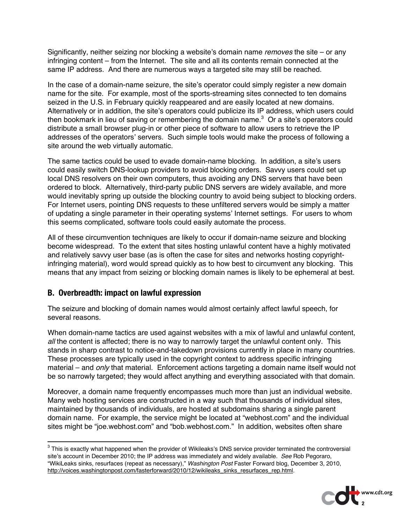Significantly, neither seizing nor blocking a website's domain name *removes* the site – or any infringing content – from the Internet. The site and all its contents remain connected at the same IP address. And there are numerous ways a targeted site may still be reached.

In the case of a domain-name seizure, the site's operator could simply register a new domain name for the site. For example, most of the sports-streaming sites connected to ten domains seized in the U.S. in February quickly reappeared and are easily located at new domains. Alternatively or in addition, the site's operators could publicize its IP address, which users could then bookmark in lieu of saving or remembering the domain name. $3$  Or a site's operators could distribute a small browser plug-in or other piece of software to allow users to retrieve the IP addresses of the operators' servers. Such simple tools would make the process of following a site around the web virtually automatic.

The same tactics could be used to evade domain-name blocking. In addition, a site's users could easily switch DNS-lookup providers to avoid blocking orders. Savvy users could set up local DNS resolvers on their own computers, thus avoiding any DNS servers that have been ordered to block. Alternatively, third-party public DNS servers are widely available, and more would inevitably spring up outside the blocking country to avoid being subject to blocking orders. For Internet users, pointing DNS requests to these unfiltered servers would be simply a matter of updating a single parameter in their operating systems' Internet settings. For users to whom this seems complicated, software tools could easily automate the process.

All of these circumvention techniques are likely to occur if domain-name seizure and blocking become widespread. To the extent that sites hosting unlawful content have a highly motivated and relatively savvy user base (as is often the case for sites and networks hosting copyrightinfringing material), word would spread quickly as to how best to circumvent any blocking. This means that any impact from seizing or blocking domain names is likely to be ephemeral at best.

### **B. Overbreadth: impact on lawful expression**

The seizure and blocking of domain names would almost certainly affect lawful speech, for several reasons.

When domain-name tactics are used against websites with a mix of lawful and unlawful content, *all* the content is affected; there is no way to narrowly target the unlawful content only. This stands in sharp contrast to notice-and-takedown provisions currently in place in many countries. These processes are typically used in the copyright context to address specific infringing material – and *only* that material. Enforcement actions targeting a domain name itself would not be so narrowly targeted; they would affect anything and everything associated with that domain.

Moreover, a domain name frequently encompasses much more than just an individual website. Many web hosting services are constructed in a way such that thousands of individual sites, maintained by thousands of individuals, are hosted at subdomains sharing a single parent domain name. For example, the service might be located at "webhost.com" and the individual sites might be "joe.webhost.com" and "bob.webhost.com." In addition, websites often share

<sup>-&</sup>lt;br>3  $3$  This is exactly what happened when the provider of Wikileaks's DNS service provider terminated the controversial site's account in December 2010; the IP address was immediately and widely available. *See* Rob Pegoraro, "WikiLeaks sinks, resurfaces (repeat as necessary)," *Washington Post* Faster Forward blog, December 3, 2010, http://voices.washingtonpost.com/fasterforward/2010/12/wikileaks\_sinks\_resurfaces\_rep.html.

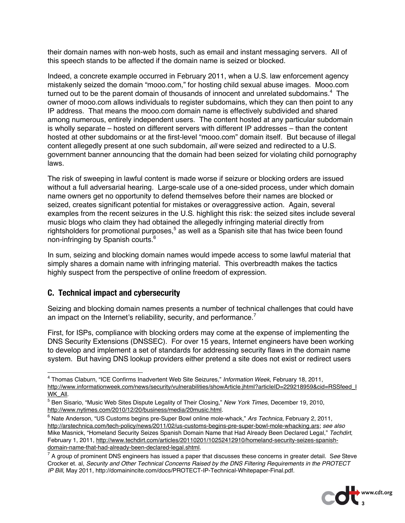their domain names with non-web hosts, such as email and instant messaging servers. All of this speech stands to be affected if the domain name is seized or blocked.

Indeed, a concrete example occurred in February 2011, when a U.S. law enforcement agency mistakenly seized the domain "mooo.com," for hosting child sexual abuse images. Mooo.com turned out to be the parent domain of thousands of innocent and unrelated subdomains. $4$  The owner of mooo.com allows individuals to register subdomains, which they can then point to any IP address. That means the mooo.com domain name is effectively subdivided and shared among numerous, entirely independent users. The content hosted at any particular subdomain is wholly separate – hosted on different servers with different IP addresses – than the content hosted at other subdomains or at the first-level "mooo.com" domain itself. But because of illegal content allegedly present at one such subdomain, *all* were seized and redirected to a U.S. government banner announcing that the domain had been seized for violating child pornography laws.

The risk of sweeping in lawful content is made worse if seizure or blocking orders are issued without a full adversarial hearing. Large-scale use of a one-sided process, under which domain name owners get no opportunity to defend themselves before their names are blocked or seized, creates significant potential for mistakes or overaggressive action. Again, several examples from the recent seizures in the U.S. highlight this risk: the seized sites include several music blogs who claim they had obtained the allegedly infringing material directly from rightsholders for promotional purposes, $5$  as well as a Spanish site that has twice been found non-infringing by Spanish courts.6

In sum, seizing and blocking domain names would impede access to some lawful material that simply shares a domain name with infringing material. This overbreadth makes the tactics highly suspect from the perspective of online freedom of expression.

### **C. Technical impact and cybersecurity**

Seizing and blocking domain names presents a number of technical challenges that could have an impact on the Internet's reliability, security, and performance.<sup>7</sup>

First, for ISPs, compliance with blocking orders may come at the expense of implementing the DNS Security Extensions (DNSSEC). For over 15 years, Internet engineers have been working to develop and implement a set of standards for addressing security flaws in the domain name system. But having DNS lookup providers either pretend a site does not exist or redirect users

<sup>7</sup> A group of prominent DNS engineers has issued a paper that discusses these concerns in greater detail. S*ee* Steve Crocker et. al, *Security and Other Technical Concerns Raised by the DNS Filtering Requirements in the PROTECT IP Bill*, May 2011, http://domainincite.com/docs/PROTECT-IP-Technical-Whitepaper-Final.pdf.



 $\frac{1}{4}$  Thomas Claburn, "ICE Confirms Inadvertent Web Site Seizures," *Information Week*, February 18, 2011, http://www.informationweek.com/news/security/vulnerabilities/showArticle.jhtml?articleID=229218959&cid=RSSfeed\_I WK\_All.

<sup>5</sup> Ben Sisario, "Music Web Sites Dispute Legality of Their Closing," *New York Times*, December 19, 2010, http://www.nytimes.com/2010/12/20/business/media/20music.html.

<sup>&</sup>lt;sup>6</sup> Nate Anderson, "US Customs begins pre-Super Bowl online mole-whack," Ars Technica, February 2, 2011, http://arstechnica.com/tech-policy/news/2011/02/us-customs-begins-pre-super-bowl-mole-whacking.ars; *see also* Mike Masnick, "Homeland Security Seizes Spanish Domain Name that Had Already Been Declared Legal," *Techdirt*, February 1, 2011, http://www.techdirt.com/articles/20110201/10252412910/homeland-security-seizes-spanishdomain-name-that-had-already-been-declared-legal.shtml.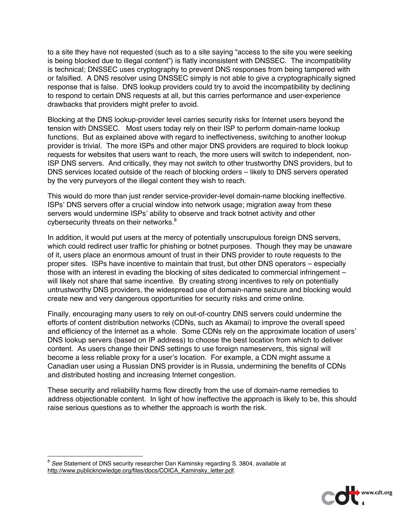to a site they have not requested (such as to a site saying "access to the site you were seeking is being blocked due to illegal content") is flatly inconsistent with DNSSEC. The incompatibility is technical; DNSSEC uses cryptography to prevent DNS responses from being tampered with or falsified. A DNS resolver using DNSSEC simply is not able to give a cryptographically signed response that is false. DNS lookup providers could try to avoid the incompatibility by declining to respond to certain DNS requests at all, but this carries performance and user-experience drawbacks that providers might prefer to avoid.

Blocking at the DNS lookup-provider level carries security risks for Internet users beyond the tension with DNSSEC. Most users today rely on their ISP to perform domain-name lookup functions. But as explained above with regard to ineffectiveness, switching to another lookup provider is trivial. The more ISPs and other major DNS providers are required to block lookup requests for websites that users want to reach, the more users will switch to independent, non-ISP DNS servers. And critically, they may not switch to other trustworthy DNS providers, but to DNS services located outside of the reach of blocking orders – likely to DNS servers operated by the very purveyors of the illegal content they wish to reach.

This would do more than just render service-provider-level domain-name blocking ineffective. ISPs' DNS servers offer a crucial window into network usage; migration away from these servers would undermine ISPs' ability to observe and track botnet activity and other cybersecurity threats on their networks.<sup>8</sup>

In addition, it would put users at the mercy of potentially unscrupulous foreign DNS servers, which could redirect user traffic for phishing or botnet purposes. Though they may be unaware of it, users place an enormous amount of trust in their DNS provider to route requests to the proper sites. ISPs have incentive to maintain that trust, but other DNS operators – especially those with an interest in evading the blocking of sites dedicated to commercial infringement – will likely not share that same incentive. By creating strong incentives to rely on potentially untrustworthy DNS providers, the widespread use of domain-name seizure and blocking would create new and very dangerous opportunities for security risks and crime online.

Finally, encouraging many users to rely on out-of-country DNS servers could undermine the efforts of content distribution networks (CDNs, such as Akamai) to improve the overall speed and efficiency of the Internet as a whole. Some CDNs rely on the approximate location of users' DNS lookup servers (based on IP address) to choose the best location from which to deliver content. As users change their DNS settings to use foreign nameservers, this signal will become a less reliable proxy for a user's location. For example, a CDN might assume a Canadian user using a Russian DNS provider is in Russia, undermining the benefits of CDNs and distributed hosting and increasing Internet congestion.

These security and reliability harms flow directly from the use of domain-name remedies to address objectionable content. In light of how ineffective the approach is likely to be, this should raise serious questions as to whether the approach is worth the risk.



 <sup>8</sup> *See* Statement of DNS security researcher Dan Kaminsky regarding S. 3804, available at http://www.publicknowledge.org/files/docs/COICA\_Kaminsky\_letter.pdf.